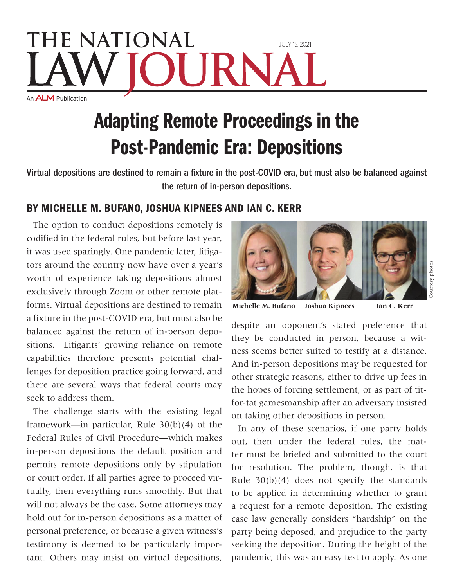## **THE NATIONAL** July 15, 2021 JRN. An **ALM** Publication

## Adapting Remote Proceedings in the Post-Pandemic Era: Depositions

Virtual depositions are destined to remain a fixture in the post-COVID era, but must also be balanced against the return of in-person depositions.

## By Michelle M. Bufano, Joshua Kipnees and Ian C. Kerr

The option to conduct depositions remotely is codified in the federal rules, but before last year, it was used sparingly. One pandemic later, litigators around the country now have over a year's worth of experience taking depositions almost exclusively through Zoom or other remote platforms. Virtual depositions are destined to remain a fixture in the post-COVID era, but must also be balanced against the return of in-person depositions. Litigants' growing reliance on remote capabilities therefore presents potential challenges for deposition practice going forward, and there are several ways that federal courts may seek to address them.

The challenge starts with the existing legal framework—in particular, Rule  $30(b)(4)$  of the Federal Rules of Civil Procedure—which makes in-person depositions the default position and permits remote depositions only by stipulation or court order. If all parties agree to proceed virtually, then everything runs smoothly. But that will not always be the case. Some attorneys may hold out for in-person depositions as a matter of personal preference, or because a given witness's testimony is deemed to be particularly important. Others may insist on virtual depositions,



**Michelle M. Bufano Joshua Kipnees Ian C. Kerr**

despite an opponent's stated preference that they be conducted in person, because a witness seems better suited to testify at a distance. And in-person depositions may be requested for other strategic reasons, either to drive up fees in the hopes of forcing settlement, or as part of titfor-tat gamesmanship after an adversary insisted on taking other depositions in person.

In any of these scenarios, if one party holds out, then under the federal rules, the matter must be briefed and submitted to the court for resolution. The problem, though, is that Rule  $30(b)(4)$  does not specify the standards to be applied in determining whether to grant a request for a remote deposition. The existing case law generally considers "hardship" on the party being deposed, and prejudice to the party seeking the deposition. During the height of the pandemic, this was an easy test to apply. As one